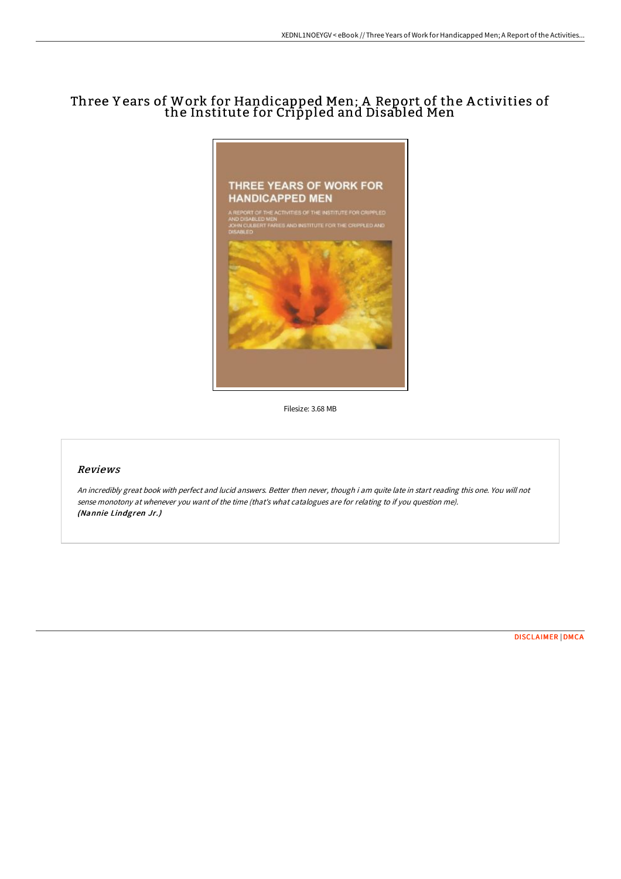# Three Y ears of Work for Handicapped Men; A Report of the A ctivities of the Institute for Crippled and Disabled Men



Filesize: 3.68 MB

## Reviews

An incredibly great book with perfect and lucid answers. Better then never, though i am quite late in start reading this one. You will not sense monotony at whenever you want of the time (that's what catalogues are for relating to if you question me). (Nannie Lindgren Jr.)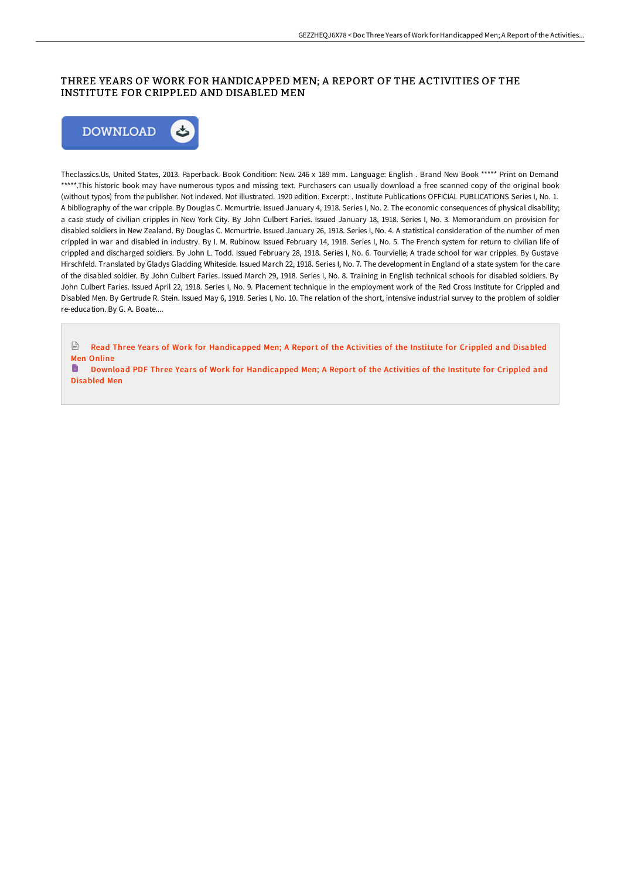### THREE YEARS OF WORK FOR HANDICAPPED MEN; A REPORT OF THE ACTIVITIES OF THE INSTITUTE FOR CRIPPLED AND DISABLED MEN



Theclassics.Us, United States, 2013. Paperback. Book Condition: New. 246 x 189 mm. Language: English . Brand New Book \*\*\*\*\* Print on Demand \*\*\*\*\*.This historic book may have numerous typos and missing text. Purchasers can usually download a free scanned copy of the original book (without typos) from the publisher. Not indexed. Not illustrated. 1920 edition. Excerpt: . Institute Publications OFFICIAL PUBLICATIONS Series I, No. 1. A bibliography of the war cripple. By Douglas C. Mcmurtrie. Issued January 4, 1918. Series I, No. 2. The economic consequences of physical disability; a case study of civilian cripples in New York City. By John Culbert Faries. Issued January 18, 1918. Series I, No. 3. Memorandum on provision for disabled soldiers in New Zealand. By Douglas C. Mcmurtrie. Issued January 26, 1918. Series I, No. 4. A statistical consideration of the number of men crippled in war and disabled in industry. By I. M. Rubinow. Issued February 14, 1918. Series I, No. 5. The French system for return to civilian life of crippled and discharged soldiers. By John L. Todd. Issued February 28, 1918. Series I, No. 6. Tourvielle; A trade school for war cripples. By Gustave Hirschfeld. Translated by Gladys Gladding Whiteside. Issued March 22, 1918. Series I, No. 7. The development in England of a state system for the care of the disabled soldier. By John Culbert Faries. Issued March 29, 1918. Series I, No. 8. Training in English technical schools for disabled soldiers. By John Culbert Faries. Issued April 22, 1918. Series I, No. 9. Placement technique in the employment work of the Red Cross Institute for Crippled and Disabled Men. By Gertrude R. Stein. Issued May 6, 1918. Series I, No. 10. The relation of the short, intensive industrial survey to the problem of soldier re-education. By G. A. Boate....

 $PSE$ Read Three Years of Work for [Handicapped](http://albedo.media/three-years-of-work-for-handicapped-men-a-report.html) Men; A Report of the Activities of the Institute for Crippled and Disabled Men Online

Download PDF Three Years of Work for [Handicapped](http://albedo.media/three-years-of-work-for-handicapped-men-a-report.html) Men; A Report of the Activities of the Institute for Crippled and Disabled Men